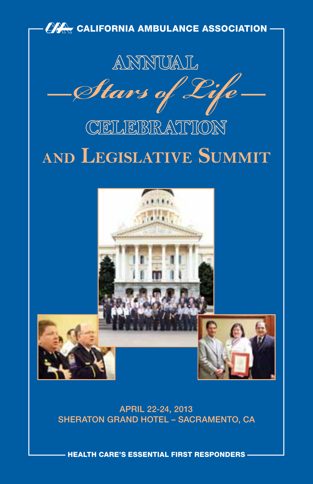

APRIL 22-24, 2013 SHERATON GRAND HOTEL – SACRAMENTO, CA

HEALTH CARE'S ESSENTIAL FIRST RESPONDERS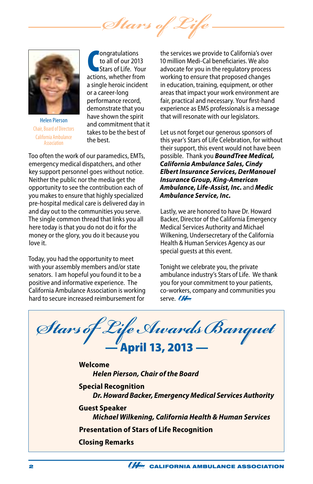*Stars of* 



Helen Pierson Chair, Board of Directors California Ambulance **Accoriation** 

**CONFORMATION CONTROVER SET CONFORMATION**<br> **CONFORMATION STATE:** Your actions, whether from ongratulations to all of our 2013 Stars of Life. Your a single heroic incident or a career-long performance record, demonstrate that you have shown the spirit and commitment that it takes to be the best of the best.

Too often the work of our paramedics, EMTs, emergency medical dispatchers, and other key support personnel goes without notice. Neither the public nor the media get the opportunity to see the contribution each of you makes to ensure that highly specialized pre-hospital medical care is delivered day in and day out to the communities you serve. The single common thread that links you all here today is that you do not do it for the money or the glory, you do it because you love it.

Today, you had the opportunity to meet with your assembly members and/or state senators. I am hopeful you found it to be a positive and informative experience. The California Ambulance Association is working hard to secure increased reimbursement for

the services we provide to California's over 10 million Medi-Cal beneficiaries. We also advocate for you in the regulatory process working to ensure that proposed changes in education, training, equipment, or other areas that impact your work environment are fair, practical and necessary. Your first-hand experience as EMS professionals is a message that will resonate with our legislators.

Let us not forget our generous sponsors of this year's Stars of Life Celebration, for without their support, this event would not have been possible. Thank you *BoundTree Medical, California Ambulance Sales, Cindy Elbert Insurance Services, DerManouel Insurance Group, King-American Ambulance, Life-Assist, Inc.* and *Medic Ambulance Service, Inc.*

Lastly, we are honored to have Dr. Howard Backer, Director of the California Emergency Medical Services Authority and Michael Wilkening, Undersecretary of the California Health & Human Services Agency as our special guests at this event.

Tonight we celebrate you, the private ambulance industry's Stars of Life. We thank you for your commitment to your patients, co-workers, company and communities you serve. MA

*Stars of Life Awards Banquet* — April 13, 2013 — **Welcome** *Helen Pierson, Chair of the Board* **Special Recognition** *Dr. Howard Backer, Emergency Medical Services Authority* **Guest Speaker** *Michael Wilkening, California Health & Human Services* **Presentation of Stars of Life Recognition Closing Remarks**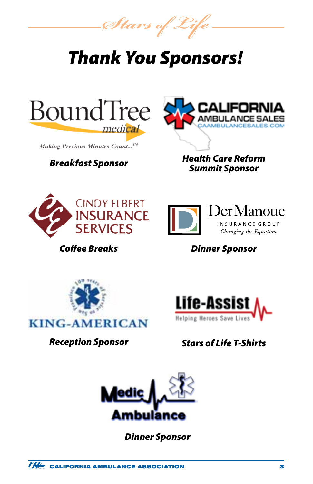*Stars of Life*

# *Thank You Sponsors!*



**Making Precious Minutes Count...**<sup>TM</sup>

## *Breakfast Sponsor*



*Health Care Reform Summit Sponsor*



*Coffee Breaks*



*Dinner Sponsor*



*Reception Sponsor*



## *Stars of Life T-Shirts*



*Dinner Sponsor*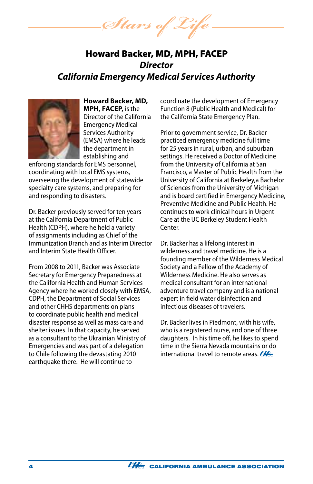Stars of 2

## Howard Backer, MD, MPH, FACEP *Director California Emergency Medical Services Authority*



**Howard Backer, MD, MPH, FACEP,** is the Director of the California Emergency Medical Services Authority (EMSA) where he leads the department in establishing and

enforcing standards for EMS personnel, coordinating with local EMS systems, overseeing the development of statewide specialty care systems, and preparing for and responding to disasters.

Dr. Backer previously served for ten years at the California Department of Public Health (CDPH), where he held a variety of assignments including as Chief of the Immunization Branch and as Interim Director and Interim State Health Officer.

From 2008 to 2011, Backer was Associate Secretary for Emergency Preparedness at the California Health and Human Services Agency where he worked closely with EMSA, CDPH, the Department of Social Services and other CHHS departments on plans to coordinate public health and medical disaster response as well as mass care and shelter issues. In that capacity, he served as a consultant to the Ukrainian Ministry of Emergencies and was part of a delegation to Chile following the devastating 2010 earthquake there. He will continue to

coordinate the development of Emergency Function 8 (Public Health and Medical) for the California State Emergency Plan.

Prior to government service, Dr. Backer practiced emergency medicine full time for 25 years in rural, urban, and suburban settings. He received a Doctor of Medicine from the University of California at San Francisco, a Master of Public Health from the University of California at Berkeley,a Bachelor of Sciences from the University of Michigan and is board certified in Emergency Medicine, Preventive Medicine and Public Health. He continues to work clinical hours in Urgent Care at the UC Berkeley Student Health Center.

Dr. Backer has a lifelong interest in wilderness and travel medicine. He is a founding member of the Wilderness Medical Society and a Fellow of the Academy of Wilderness Medicine. He also serves as medical consultant for an international adventure travel company and is a national expert in field water disinfection and infectious diseases of travelers.

Dr. Backer lives in Piedmont, with his wife, who is a registered nurse, and one of three daughters. In his time off, he likes to spend time in the Sierra Nevada mountains or do international travel to remote areas.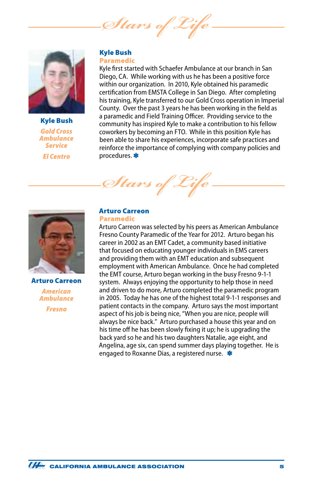*Stars of* 



Kyle Bush *Gold Cross Ambulance Service El Centro*

#### Kyle Bush Paramedic

Kyle first started with Schaefer Ambulance at our branch in San Diego, CA. While working with us he has been a positive force within our organization. In 2010, Kyle obtained his paramedic certification from EMSTA College in San Diego. After completing his training, Kyle transferred to our Gold Cross operation in Imperial County. Over the past 3 years he has been working in the field as a paramedic and Field Training Officer. Providing service to the community has inspired Kyle to make a contribution to his fellow coworkers by becoming an FTO. While in this position Kyle has been able to share his experiences, incorporate safe practices and reinforce the importance of complying with company policies and procedures. \*



Arturo Carreon *American Ambulance*

*Fresno*

#### Arturo Carreon Paramedic

 $\mathscr{I}$ tars

Arturo Carreon was selected by his peers as American Ambulance Fresno County Paramedic of the Year for 2012. Arturo began his career in 2002 as an EMT Cadet, a community based initiative that focused on educating younger individuals in EMS careers and providing them with an EMT education and subsequent employment with American Ambulance. Once he had completed the EMT course, Arturo began working in the busy Fresno 9-1-1 system. Always enjoying the opportunity to help those in need and driven to do more, Arturo completed the paramedic program in 2005. Today he has one of the highest total 9-1-1 responses and patient contacts in the company. Arturo says the most important aspect of his job is being nice, "When you are nice, people will always be nice back." Arturo purchased a house this year and on his time off he has been slowly fixing it up; he is upgrading the back yard so he and his two daughters Natalie, age eight, and Angelina, age six, can spend summer days playing together. He is engaged to Roxanne Dias, a registered nurse. \*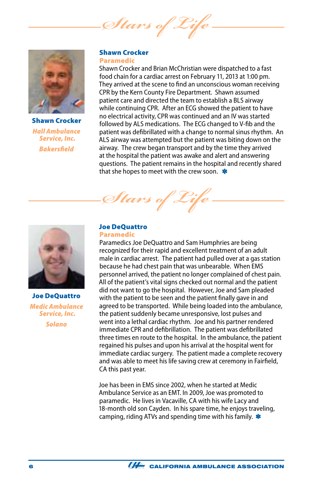Stars of



Shawn Crocker *Hall Ambulance Service, Inc. Bakersfield*

#### Shawn Crocker Paramedic

Shawn Crocker and Brian McChristian were dispatched to a fast food chain for a cardiac arrest on February 11, 2013 at 1:00 pm. They arrived at the scene to find an unconscious woman receiving CPR by the Kern County Fire Department. Shawn assumed patient care and directed the team to establish a BLS airway while continuing CPR. After an ECG showed the patient to have no electrical activity, CPR was continued and an IV was started followed by ALS medications. The ECG changed to V-fib and the patient was defibrillated with a change to normal sinus rhythm. An ALS airway was attempted but the patient was biting down on the airway. The crew began transport and by the time they arrived at the hospital the patient was awake and alert and answering questions. The patient remains in the hospital and recently shared that she hopes to meet with the crew soon.  $\clubsuit$ 

Joe DeQuattro *Medic Ambulance Service, Inc. Solano*

## Joe DeQuattro

*Stars of Life*

#### Paramedic

Paramedics Joe DeQuattro and Sam Humphries are being recognized for their rapid and excellent treatment of an adult male in cardiac arrest. The patient had pulled over at a gas station because he had chest pain that was unbearable. When EMS personnel arrived, the patient no longer complained of chest pain. All of the patient's vital signs checked out normal and the patient did not want to go the hospital. However, Joe and Sam pleaded with the patient to be seen and the patient finally gave in and agreed to be transported. While being loaded into the ambulance, the patient suddenly became unresponsive, lost pulses and went into a lethal cardiac rhythm. Joe and his partner rendered immediate CPR and defibrillation. The patient was defibrillated three times en route to the hospital. In the ambulance, the patient regained his pulses and upon his arrival at the hospital went for immediate cardiac surgery. The patient made a complete recovery and was able to meet his life saving crew at ceremony in Fairfield, CA this past year.

Joe has been in EMS since 2002, when he started at Medic Ambulance Service as an EMT. In 2009, Joe was promoted to paramedic. He lives in Vacaville, CA with his wife Lacy and 18-month old son Cayden. In his spare time, he enjoys traveling, camping, riding ATVs and spending time with his family.  $*$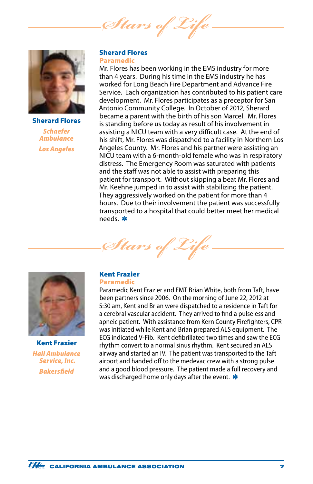*Stars of Life*



Sherard Flores *Schaefer Ambulance Los Angeles*

#### Sherard Flores Paramedic

Mr. Flores has been working in the EMS industry for more than 4 years. During his time in the EMS industry he has worked for Long Beach Fire Department and Advance Fire Service. Each organization has contributed to his patient care development. Mr. Flores participates as a preceptor for San Antonio Community College. In October of 2012, Sherard became a parent with the birth of his son Marcel. Mr. Flores is standing before us today as result of his involvement in assisting a NICU team with a very difficult case. At the end of his shift, Mr. Flores was dispatched to a facility in Northern Los Angeles County. Mr. Flores and his partner were assisting an NICU team with a 6-month-old female who was in respiratory distress. The Emergency Room was saturated with patients and the staff was not able to assist with preparing this patient for transport. Without skipping a beat Mr. Flores and Mr. Keehne jumped in to assist with stabilizing the patient. They aggressively worked on the patient for more than 4 hours. Due to their involvement the patient was successfully transported to a hospital that could better meet her medical needs. \*





Kent Frazier *Hall Ambulance Service, Inc. Bakersfield*

### Kent Frazier

#### Paramedic

Paramedic Kent Frazier and EMT Brian White, both from Taft, have been partners since 2006. On the morning of June 22, 2012 at 5:30 am, Kent and Brian were dispatched to a residence in Taft for a cerebral vascular accident. They arrived to find a pulseless and apneic patient. With assistance from Kern County Firefighters, CPR was initiated while Kent and Brian prepared ALS equipment. The ECG indicated V-Fib. Kent defibrillated two times and saw the ECG rhythm convert to a normal sinus rhythm. Kent secured an ALS airway and started an IV. The patient was transported to the Taft airport and handed off to the medevac crew with a strong pulse and a good blood pressure. The patient made a full recovery and was discharged home only days after the event.  $\ast$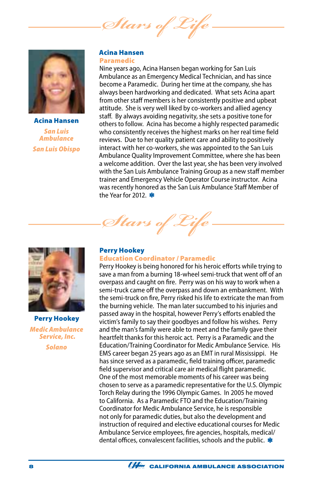Stars of



Acina Hansen *San Luis Ambulance San Luis Obispo*

#### Acina Hansen Paramedic

Nine years ago, Acina Hansen began working for San Luis Ambulance as an Emergency Medical Technician, and has since become a Paramedic. During her time at the company, she has always been hardworking and dedicated. What sets Acina apart from other staff members is her consistently positive and upbeat attitude. She is very well liked by co-workers and allied agency staff. By always avoiding negativity, she sets a positive tone for others to follow. Acina has become a highly respected paramedic who consistently receives the highest marks on her real time field reviews. Due to her quality patient care and ability to positively interact with her co-workers, she was appointed to the San Luis Ambulance Quality Improvement Committee, where she has been a welcome addition. Over the last year, she has been very involved with the San Luis Ambulance Training Group as a new staff member trainer and Emergency Vehicle Operator Course instructor. Acina was recently honored as the San Luis Ambulance Staff Member of the Year for 2012.



Perry Hookey *Medic Ambulance Service, Inc. Solano*

#### Perry Hookey

*Stars of Life*

#### Education Coordinator / Paramedic

Perry Hookey is being honored for his heroic efforts while trying to save a man from a burning 18-wheel semi-truck that went off of an overpass and caught on fire. Perry was on his way to work when a semi-truck came off the overpass and down an embankment. With the semi-truck on fire, Perry risked his life to extricate the man from the burning vehicle. The man later succumbed to his injuries and passed away in the hospital, however Perry's efforts enabled the victim's family to say their goodbyes and follow his wishes. Perry and the man's family were able to meet and the family gave their heartfelt thanks for this heroic act. Perry is a Paramedic and the Education/Training Coordinator for Medic Ambulance Service. His EMS career began 25 years ago as an EMT in rural Mississippi. He has since served as a paramedic, field training officer, paramedic field supervisor and critical care air medical flight paramedic. One of the most memorable moments of his career was being chosen to serve as a paramedic representative for the U.S. Olympic Torch Relay during the 1996 Olympic Games. In 2005 he moved to California. As a Paramedic FTO and the Education/Training Coordinator for Medic Ambulance Service, he is responsible not only for paramedic duties, but also the development and instruction of required and elective educational courses for Medic Ambulance Service employees, fire agencies, hospitals, medical/ dental offices, convalescent facilities, schools and the public. \*

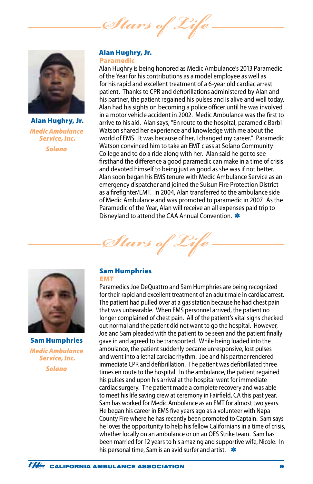Stars of



Alan Hughry, Jr. *Medic Ambulance Service, Inc. Solano*

#### Alan Hughry, Jr. Paramedic

Alan Hughry is being honored as Medic Ambulance's 2013 Paramedic of the Year for his contributions as a model employee as well as for his rapid and excellent treatment of a 6-year old cardiac arrest patient. Thanks to CPR and defibrillations administered by Alan and his partner, the patient regained his pulses and is alive and well today. Alan had his sights on becoming a police officer until he was involved in a motor vehicle accident in 2002. Medic Ambulance was the first to arrive to his aid. Alan says, "En route to the hospital, paramedic Barbi Watson shared her experience and knowledge with me about the world of EMS. It was because of her, I changed my career." Paramedic Watson convinced him to take an EMT class at Solano Community College and to do a ride along with her. Alan said he got to see firsthand the difference a good paramedic can make in a time of crisis and devoted himself to being just as good as she was if not better. Alan soon began his EMS tenure with Medic Ambulance Service as an emergency dispatcher and joined the Suisun Fire Protection District as a firefighter/EMT. In 2004, Alan transferred to the ambulance side of Medic Ambulance and was promoted to paramedic in 2007. As the Paramedic of the Year, Alan will receive an all expenses paid trip to Disneyland to attend the CAA Annual Convention.



Sam Humphries *Medic Ambulance Service, Inc. Solano*

## Sam Humphries

*Stars of Life*

EMT

Paramedics Joe DeQuattro and Sam Humphries are being recognized for their rapid and excellent treatment of an adult male in cardiac arrest. The patient had pulled over at a gas station because he had chest pain that was unbearable. When EMS personnel arrived, the patient no longer complained of chest pain. All of the patient's vital signs checked out normal and the patient did not want to go the hospital. However, Joe and Sam pleaded with the patient to be seen and the patient finally gave in and agreed to be transported. While being loaded into the ambulance, the patient suddenly became unresponsive, lost pulses and went into a lethal cardiac rhythm. Joe and his partner rendered immediate CPR and defibrillation. The patient was defibrillated three times en route to the hospital. In the ambulance, the patient regained his pulses and upon his arrival at the hospital went for immediate cardiac surgery. The patient made a complete recovery and was able to meet his life saving crew at ceremony in Fairfield, CA this past year. Sam has worked for Medic Ambulance as an EMT for almost two years. He began his career in EMS five years ago as a volunteer with Napa County Fire where he has recently been promoted to Captain. Sam says he loves the opportunity to help his fellow Californians in a time of crisis, whether locally on an ambulance or on an OES Strike team. Sam has been married for 12 years to his amazing and supportive wife, Nicole. In his personal time, Sam is an avid surfer and artist.  $*$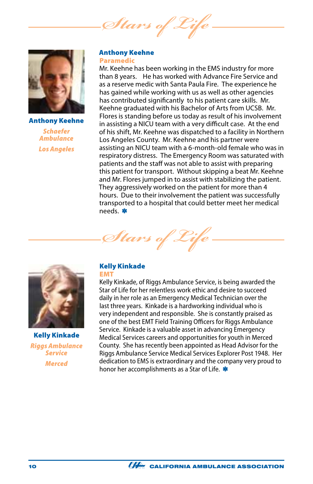Stars of



Anthony Keehne *Schaefer Ambulance Los Angeles*

#### Anthony Keehne Paramedic

Mr. Keehne has been working in the EMS industry for more than 8 years. He has worked with Advance Fire Service and as a reserve medic with Santa Paula Fire. The experience he has gained while working with us as well as other agencies has contributed significantly to his patient care skills. Mr. Keehne graduated with his Bachelor of Arts from UCSB. Mr. Flores is standing before us today as result of his involvement in assisting a NICU team with a very difficult case. At the end of his shift, Mr. Keehne was dispatched to a facility in Northern Los Angeles County. Mr. Keehne and his partner were assisting an NICU team with a 6-month-old female who was in respiratory distress. The Emergency Room was saturated with patients and the staff was not able to assist with preparing this patient for transport. Without skipping a beat Mr. Keehne and Mr. Flores jumped in to assist with stabilizing the patient. They aggressively worked on the patient for more than 4 hours. Due to their involvement the patient was successfully transported to a hospital that could better meet her medical needs. \*



Kelly Kinkade *Riggs Ambulance Service Merced*

#### Kelly Kinkade **EMT**

*Stars of Life*

Kelly Kinkade, of Riggs Ambulance Service, is being awarded the Star of Life for her relentless work ethic and desire to succeed daily in her role as an Emergency Medical Technician over the last three years. Kinkade is a hardworking individual who is very independent and responsible. She is constantly praised as one of the best EMT Field Training Officers for Riggs Ambulance Service. Kinkade is a valuable asset in advancing Emergency Medical Services careers and opportunities for youth in Merced County. She has recently been appointed as Head Advisor for the Riggs Ambulance Service Medical Services Explorer Post 1948. Her dedication to EMS is extraordinary and the company very proud to honor her accomplishments as a Star of Life.

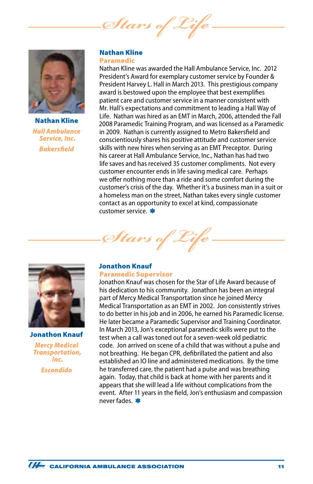*Stars of* 



Nathan Kline *Hall Ambulance Service, Inc. Bakersfield*

#### Nathan Kline Paramedic

Nathan Kline was awarded the Hall Ambulance Service, Inc. 2012 President's Award for exemplary customer service by Founder & President Harvey L. Hall in March 2013. This prestigious company award is bestowed upon the employee that best exemplifies patient care and customer service in a manner consistent with Mr. Hall's expectations and commitment to leading a Hall Way of Life. Nathan was hired as an EMT in March, 2006, attended the Fall 2008 Paramedic Training Program, and was licensed as a Paramedic in 2009. Nathan is currently assigned to Metro Bakersfield and conscientiously shares his positive attitude and customer service skills with new hires when serving as an EMT Preceptor. During his career at Hall Ambulance Service, Inc., Nathan has had two life saves and has received 35 customer compliments. Not every customer encounter ends in life saving medical care. Perhaps we offer nothing more than a ride and some comfort during the customer's crisis of the day. Whether it's a business man in a suit or a homeless man on the street, Nathan takes every single customer contact as an opportunity to excel at kind, compassionate customer service. \*



Jonathon Knauf

*Mercy Medical Transportation, Inc. Escondido*

#### Jonathon Knauf Paramedic Supervisor

*Stars of Life*

Jonathon Knauf was chosen for the Star of Life Award because of his dedication to his community. Jonathon has been an integral part of Mercy Medical Transportation since he joined Mercy Medical Transportation as an EMT in 2002. Jon consistently strives to do better in his job and in 2006, he earned his Paramedic license. He later became a Paramedic Supervisor and Training Coordinator. In March 2013, Jon's exceptional paramedic skills were put to the test when a call was toned out for a seven-week old pediatric code. Jon arrived on scene of a child that was without a pulse and not breathing. He began CPR, defibrillated the patient and also established an IO line and administered medications. By the time he transferred care, the patient had a pulse and was breathing again. Today, that child is back at home with her parents and it appears that she will lead a life without complications from the event. After 11 years in the field, Jon's enthusiasm and compassion never fades. \*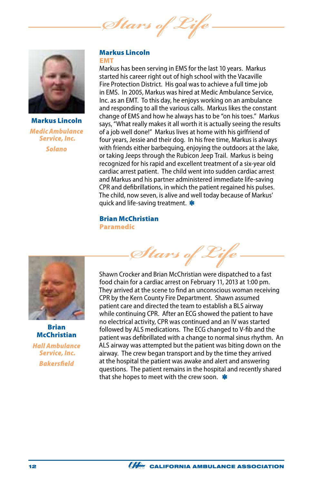Stars of



Markus Lincoln *Medic Ambulance Service, Inc. Solano*

#### Markus Lincoln EMT

Markus has been serving in EMS for the last 10 years. Markus started his career right out of high school with the Vacaville Fire Protection District. His goal was to achieve a full time job in EMS. In 2005, Markus was hired at Medic Ambulance Service, Inc. as an EMT. To this day, he enjoys working on an ambulance and responding to all the various calls. Markus likes the constant change of EMS and how he always has to be "on his toes." Markus says, "What really makes it all worth it is actually seeing the results of a job well done!" Markus lives at home with his girlfriend of four years, Jessie and their dog. In his free time, Markus is always with friends either barbequing, enjoying the outdoors at the lake, or taking Jeeps through the Rubicon Jeep Trail. Markus is being recognized for his rapid and excellent treatment of a six-year old cardiac arrest patient. The child went into sudden cardiac arrest and Markus and his partner administered immediate life-saving CPR and defibrillations, in which the patient regained his pulses. The child, now seven, is alive and well today because of Markus' quick and life-saving treatment. \*

Brian McChristian Paramedic



Brian **McChristian** *Hall Ambulance Service, Inc. Bakersfield*

Shawn Crocker and Brian McChristian were dispatched to a fast food chain for a cardiac arrest on February 11, 2013 at 1:00 pm. They arrived at the scene to find an unconscious woman receiving CPR by the Kern County Fire Department. Shawn assumed patient care and directed the team to establish a BLS airway while continuing CPR. After an ECG showed the patient to have no electrical activity, CPR was continued and an IV was started followed by ALS medications. The ECG changed to V-fib and the patient was defibrillated with a change to normal sinus rhythm. An ALS airway was attempted but the patient was biting down on the airway. The crew began transport and by the time they arrived at the hospital the patient was awake and alert and answering questions. The patient remains in the hospital and recently shared

*Stars of Life*

that she hopes to meet with the crew soon.  $\ast$ 

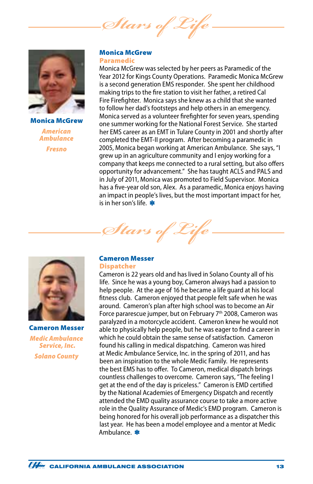*Stars of* 



Monica McGrew *American Ambulance Fresno*

#### Monica McGrew Paramedic

Monica McGrew was selected by her peers as Paramedic of the Year 2012 for Kings County Operations. Paramedic Monica McGrew is a second generation EMS responder. She spent her childhood making trips to the fire station to visit her father, a retired Cal Fire Firefighter. Monica says she knew as a child that she wanted to follow her dad's footsteps and help others in an emergency. Monica served as a volunteer firefighter for seven years, spending one summer working for the National Forest Service. She started her EMS career as an EMT in Tulare County in 2001 and shortly after completed the EMT-II program. After becoming a paramedic in 2005, Monica began working at American Ambulance. She says, "I grew up in an agriculture community and I enjoy working for a company that keeps me connected to a rural setting, but also offers opportunity for advancement." She has taught ACLS and PALS and in July of 2011, Monica was promoted to Field Supervisor. Monica has a five-year old son, Alex. As a paramedic, Monica enjoys having an impact in people's lives, but the most important impact for her, is in her son's life.



Cameron Messer *Medic Ambulance Service, Inc. Solano County*

#### Cameron Messer **Dispatcher**

**Stars** 

Cameron is 22 years old and has lived in Solano County all of his life. Since he was a young boy, Cameron always had a passion to help people. At the age of 16 he became a life guard at his local fitness club. Cameron enjoyed that people felt safe when he was around. Cameron's plan after high school was to become an Air Force pararescue jumper, but on February 7<sup>th</sup> 2008, Cameron was paralyzed in a motorcycle accident. Cameron knew he would not able to physically help people, but he was eager to find a career in which he could obtain the same sense of satisfaction. Cameron found his calling in medical dispatching. Cameron was hired at Medic Ambulance Service, Inc. in the spring of 2011, and has been an inspiration to the whole Medic Family. He represents the best EMS has to offer. To Cameron, medical dispatch brings countless challenges to overcome. Cameron says, "The feeling I get at the end of the day is priceless." Cameron is EMD certified by the National Academies of Emergency Dispatch and recently attended the EMD quality assurance course to take a more active role in the Quality Assurance of Medic's EMD program. Cameron is being honored for his overall job performance as a dispatcher this last year. He has been a model employee and a mentor at Medic Ambulance. \*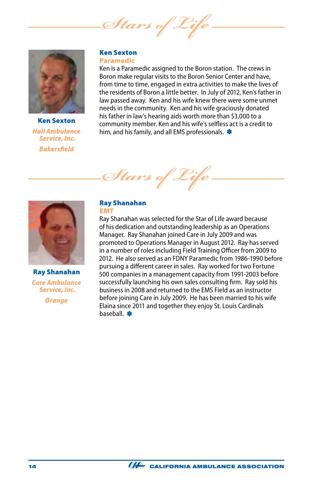*Stars of Life*



Ken Sexton *Hall Ambulance Service, Inc. Bakersfield*

#### Ken Sexton Paramedic

Ken is a Paramedic assigned to the Boron station. The crews in Boron make regular visits to the Boron Senior Center and have, from time to time, engaged in extra activities to make the lives of the residents of Boron a little better. In July of 2012, Ken's father in law passed away. Ken and his wife knew there were some unmet needs in the community. Ken and his wife graciously donated his father in law's hearing aids worth more than \$3,000 to a community member. Ken and his wife's selfless act is a credit to him, and his family, and all EMS professionals. \*





Ray Shanahan *Care Ambulance Service, Inc. Orange*

#### Ray Shanahan EMT

Ray Shanahan was selected for the Star of Life award because of his dedication and outstanding leadership as an Operations Manager. Ray Shanahan joined Care in July 2009 and was promoted to Operations Manager in August 2012. Ray has served in a number of roles including Field Training Officer from 2009 to 2012. He also served as an FDNY Paramedic from 1986-1990 before pursuing a different career in sales. Ray worked for two Fortune 500 companies in a management capacity from 1991-2003 before successfully launching his own sales consulting firm. Ray sold his business in 2008 and returned to the EMS Field as an instructor before joining Care in July 2009. He has been married to his wife Elaina since 2011 and together they enjoy St. Louis Cardinals baseball.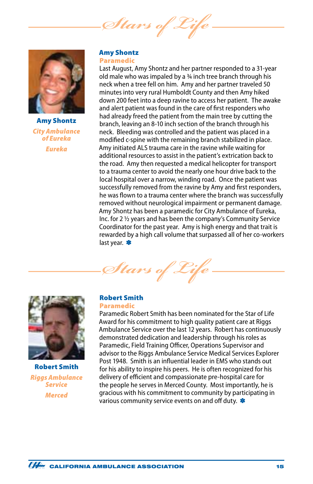*Stars of Life*



Amy Shontz *City Ambulance of Eureka Eureka*

#### Amy Shontz Paramedic

Last August, Amy Shontz and her partner responded to a 31-year old male who was impaled by a  $\frac{3}{4}$  inch tree branch through his neck when a tree fell on him. Amy and her partner traveled 50 minutes into very rural Humboldt County and then Amy hiked down 200 feet into a deep ravine to access her patient. The awake and alert patient was found in the care of first responders who had already freed the patient from the main tree by cutting the branch, leaving an 8-10 inch section of the branch through his neck. Bleeding was controlled and the patient was placed in a modified c-spine with the remaining branch stabilized in place. Amy initiated ALS trauma care in the ravine while waiting for additional resources to assist in the patient's extrication back to the road. Amy then requested a medical helicopter for transport to a trauma center to avoid the nearly one hour drive back to the local hospital over a narrow, winding road. Once the patient was successfully removed from the ravine by Amy and first responders, he was flown to a trauma center where the branch was successfully removed without neurological impairment or permanent damage. Amy Shontz has been a paramedic for City Ambulance of Eureka, Inc. for 2 ½ years and has been the company's Community Service Coordinator for the past year. Amy is high energy and that trait is rewarded by a high call volume that surpassed all of her co-workers last year. \*

 $\mathscr{I}$ tars d



Robert Smith *Riggs Ambulance Service Merced*

#### Robert Smith Paramedic

Paramedic Robert Smith has been nominated for the Star of Life Award for his commitment to high quality patient care at Riggs Ambulance Service over the last 12 years. Robert has continuously demonstrated dedication and leadership through his roles as Paramedic, Field Training Officer, Operations Supervisor and advisor to the Riggs Ambulance Service Medical Services Explorer Post 1948. Smith is an influential leader in EMS who stands out for his ability to inspire his peers. He is often recognized for his delivery of efficient and compassionate pre-hospital care for the people he serves in Merced County. Most importantly, he is gracious with his commitment to community by participating in various community service events on and off duty. \*

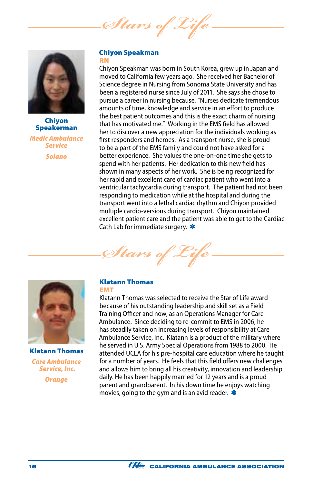Stars of



#### Chiyon Speakerman *Medic Ambulance Service Solano*

#### Chiyon Speakman RN

Chiyon Speakman was born in South Korea, grew up in Japan and moved to California few years ago. She received her Bachelor of Science degree in Nursing from Sonoma State University and has been a registered nurse since July of 2011. She says she chose to pursue a career in nursing because, "Nurses dedicate tremendous amounts of time, knowledge and service in an effort to produce the best patient outcomes and this is the exact charm of nursing that has motivated me." Working in the EMS field has allowed her to discover a new appreciation for the individuals working as first responders and heroes. As a transport nurse, she is proud to be a part of the EMS family and could not have asked for a better experience. She values the one-on-one time she gets to spend with her patients. Her dedication to this new field has shown in many aspects of her work. She is being recognized for her rapid and excellent care of cardiac patient who went into a ventricular tachycardia during transport. The patient had not been responding to medication while at the hospital and during the transport went into a lethal cardiac rhythm and Chiyon provided multiple cardio-versions during transport. Chiyon maintained excellent patient care and the patient was able to get to the Cardiac Cath Lab for immediate surgery. \*





Klatann Thomas *Care Ambulance Service, Inc. Orange*

#### Klatann Thomas EMT

Klatann Thomas was selected to receive the Star of Life award because of his outstanding leadership and skill set as a Field Training Officer and now, as an Operations Manager for Care Ambulance. Since deciding to re-commit to EMS in 2006, he has steadily taken on increasing levels of responsibility at Care Ambulance Service, Inc. Klatann is a product of the military where he served in U.S. Army Special Operations from 1988 to 2000. He attended UCLA for his pre-hospital care education where he taught for a number of years. He feels that this field offers new challenges and allows him to bring all his creativity, innovation and leadership daily. He has been happily married for 12 years and is a proud parent and grandparent. In his down time he enjoys watching movies, going to the gym and is an avid reader.  $\ast$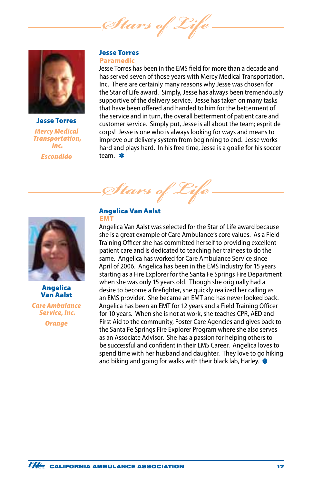*Stars of* 



Jesse Torres *Mercy Medical Transportation, Inc. Escondido*

#### Jesse Torres Paramedic

Jesse Torres has been in the EMS field for more than a decade and has served seven of those years with Mercy Medical Transportation, Inc. There are certainly many reasons why Jesse was chosen for the Star of Life award. Simply, Jesse has always been tremendously supportive of the delivery service. Jesse has taken on many tasks that have been offered and handed to him for the betterment of the service and in turn, the overall betterment of patient care and customer service. Simply put, Jesse is all about the team; esprit de corps! Jesse is one who is always looking for ways and means to improve our delivery system from beginning to end. Jesse works hard and plays hard. In his free time, Jesse is a goalie for his soccer team. \*



#### Angelica Van Aalst

*Care Ambulance Service, Inc.*

*Orange*

 $\mathscr{I}$ tars

#### Angelica Van Aalst EMT

Angelica Van Aalst was selected for the Star of Life award because she is a great example of Care Ambulance's core values. As a Field Training Officer she has committed herself to providing excellent patient care and is dedicated to teaching her trainees to do the same. Angelica has worked for Care Ambulance Service since April of 2006. Angelica has been in the EMS Industry for 15 years starting as a Fire Explorer for the Santa Fe Springs Fire Department when she was only 15 years old. Though she originally had a desire to become a firefighter, she quickly realized her calling as an EMS provider. She became an EMT and has never looked back. Angelica has been an EMT for 12 years and a Field Training Officer for 10 years. When she is not at work, she teaches CPR, AED and First Aid to the community, Foster Care Agencies and gives back to the Santa Fe Springs Fire Explorer Program where she also serves as an Associate Advisor. She has a passion for helping others to be successful and confident in their EMS Career. Angelica loves to spend time with her husband and daughter. They love to go hiking and biking and going for walks with their black lab, Harley.  $\ast$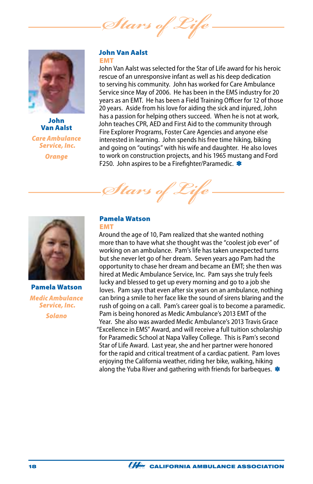*Stars of* 



John Van Aalst *Care Ambulance Service, Inc. Orange*

#### John Van Aalst EMT

John Van Aalst was selected for the Star of Life award for his heroic rescue of an unresponsive infant as well as his deep dedication to serving his community. John has worked for Care Ambulance Service since May of 2006. He has been in the EMS industry for 20 years as an EMT. He has been a Field Training Officer for 12 of those 20 years. Aside from his love for aiding the sick and injured, John has a passion for helping others succeed. When he is not at work, John teaches CPR, AED and First Aid to the community through Fire Explorer Programs, Foster Care Agencies and anyone else interested in learning. John spends his free time hiking, biking and going on "outings" with his wife and daughter. He also loves to work on construction projects, and his 1965 mustang and Ford F250. John aspires to be a Firefighter/Paramedic. \*

Pamela Watson *Stars of Life*



Pamela Watson *Medic Ambulance Service, Inc.*

*Solano*

## EMT

Around the age of 10, Pam realized that she wanted nothing more than to have what she thought was the "coolest job ever" of working on an ambulance. Pam's life has taken unexpected turns but she never let go of her dream. Seven years ago Pam had the opportunity to chase her dream and became an EMT; she then was hired at Medic Ambulance Service, Inc. Pam says she truly feels lucky and blessed to get up every morning and go to a job she loves. Pam says that even after six years on an ambulance, nothing can bring a smile to her face like the sound of sirens blaring and the rush of going on a call. Pam's career goal is to become a paramedic. Pam is being honored as Medic Ambulance's 2013 EMT of the Year. She also was awarded Medic Ambulance's 2013 Travis Grace "Excellence in EMS" Award, and will receive a full tuition scholarship for Paramedic School at Napa Valley College. This is Pam's second Star of Life Award. Last year, she and her partner were honored for the rapid and critical treatment of a cardiac patient. Pam loves enjoying the California weather, riding her bike, walking, hiking along the Yuba River and gathering with friends for barbeques.  $*$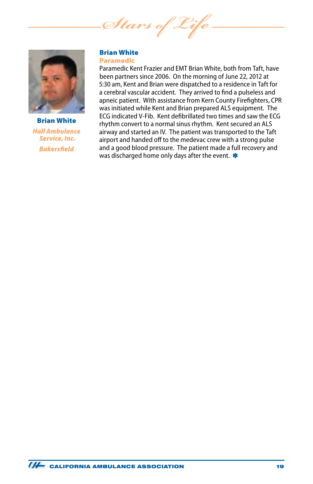*Stars of Life*



Brian White *Hall Ambulance Service, Inc. Bakersfield*

#### Brian White Paramedic

Paramedic Kent Frazier and EMT Brian White, both from Taft, have been partners since 2006. On the morning of June 22, 2012 at 5:30 am, Kent and Brian were dispatched to a residence in Taft for a cerebral vascular accident. They arrived to find a pulseless and apneic patient. With assistance from Kern County Firefighters, CPR was initiated while Kent and Brian prepared ALS equipment. The ECG indicated V-Fib. Kent defibrillated two times and saw the ECG rhythm convert to a normal sinus rhythm. Kent secured an ALS airway and started an IV. The patient was transported to the Taft airport and handed off to the medevac crew with a strong pulse and a good blood pressure. The patient made a full recovery and was discharged home only days after the event.  $\ast$